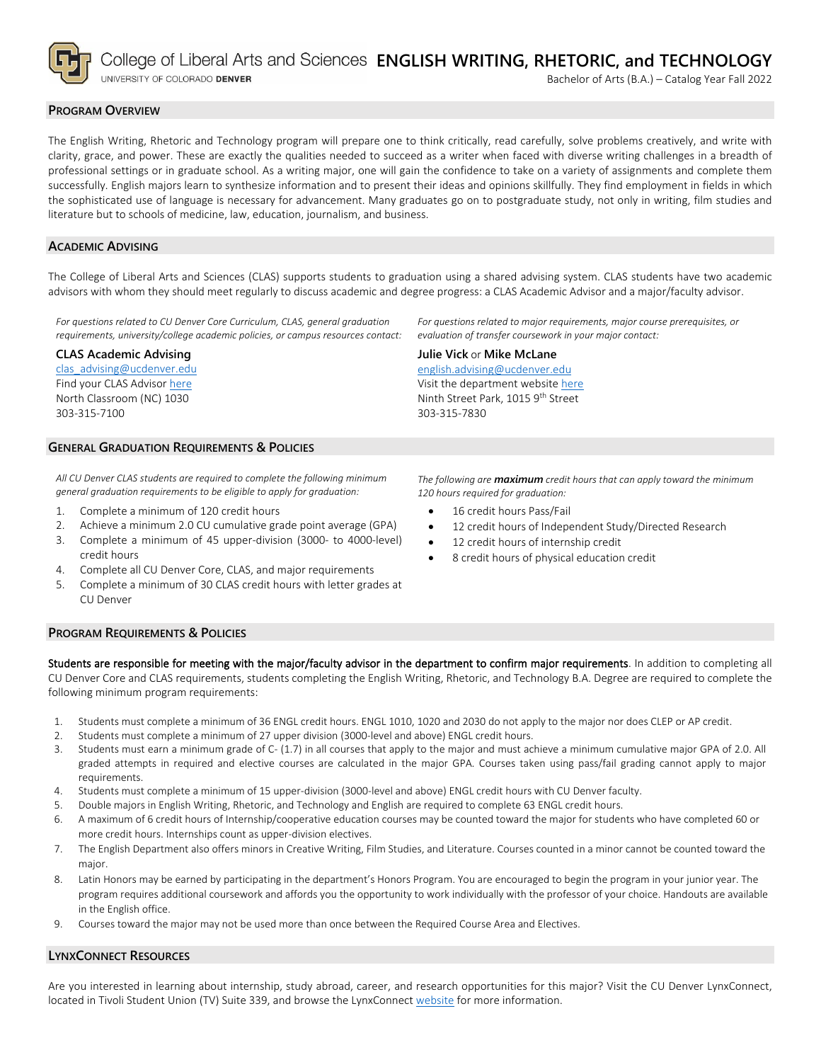

College of Liberal Arts and Sciences ENGLISH WRITING, RHETORIC, and TECHNOLOGY

UNIVERSITY OF COLORADO DENVER

# **PROGRAM OVERVIEW**

The English Writing, Rhetoric and Technology program will prepare one to think critically, read carefully, solve problems creatively, and write with clarity, grace, and power. These are exactly the qualities needed to succeed as a writer when faced with diverse writing challenges in a breadth of professional settings or in graduate school. As a writing major, one will gain the confidence to take on a variety of assignments and complete them successfully. English majors learn to synthesize information and to present their ideas and opinions skillfully. They find employment in fields in which the sophisticated use of language is necessary for advancement. Many graduates go on to postgraduate study, not only in writing, film studies and literature but to schools of medicine, law, education, journalism, and business.

#### **ACADEMIC ADVISING**

The College of Liberal Arts and Sciences (CLAS) supports students to graduation using a shared advising system. CLAS students have two academic advisors with whom they should meet regularly to discuss academic and degree progress: a CLAS Academic Advisor and a major/faculty advisor.

*For questions related to CU Denver Core Curriculum, CLAS, general graduation requirements, university/college academic policies, or campus resources contact:*

### **CLAS Academic Advising**

[clas\\_advising@ucdenver.edu](mailto:clas_advising@ucdenver.edu) Find your CLAS Adviso[r here](https://clas.ucdenver.edu/advising/) North Classroom (NC) 1030 303-315-7100

*For questions related to major requirements, major course prerequisites, or evaluation of transfer coursework in your major contact:*

# **Julie Vick** or **Mike McLane**

[english.advising@ucdenver.edu](mailto:english.advising@ucdenver.edu) Visit the department websit[e here](https://clas.ucdenver.edu/english/english-writing-rhetoric-technology-major) Ninth Street Park, 1015 9<sup>th</sup> Street 303-315-7830

### **GENERAL GRADUATION REQUIREMENTS & POLICIES**

*All CU Denver CLAS students are required to complete the following minimum general graduation requirements to be eligible to apply for graduation:*

- 1. Complete a minimum of 120 credit hours
- 2. Achieve a minimum 2.0 CU cumulative grade point average (GPA)
- 3. Complete a minimum of 45 upper-division (3000- to 4000-level) credit hours
- 4. Complete all CU Denver Core, CLAS, and major requirements
- 5. Complete a minimum of 30 CLAS credit hours with letter grades at CU Denver

*The following are maximum credit hours that can apply toward the minimum 120 hours required for graduation:*

- 16 credit hours Pass/Fail
- 12 credit hours of Independent Study/Directed Research
- 12 credit hours of internship credit
- 8 credit hours of physical education credit

#### **PROGRAM REQUIREMENTS & POLICIES**

Students are responsible for meeting with the major/faculty advisor in the department to confirm major requirements. In addition to completing all CU Denver Core and CLAS requirements, students completing the English Writing, Rhetoric, and Technology B.A. Degree are required to complete the following minimum program requirements:

- 1. Students must complete a minimum of 36 ENGL credit hours. ENGL 1010, 1020 and 2030 do not apply to the major nor does CLEP or AP credit.
- 2. Students must complete a minimum of 27 upper division (3000-level and above) ENGL credit hours.
- 3. Students must earn a minimum grade of C- (1.7) in all courses that apply to the major and must achieve a minimum cumulative major GPA of 2.0. All graded attempts in required and elective courses are calculated in the major GPA. Courses taken using pass/fail grading cannot apply to major requirements.
- 4. Students must complete a minimum of 15 upper-division (3000-level and above) ENGL credit hours with CU Denver faculty.
- 5. Double majors in English Writing, Rhetoric, and Technology and English are required to complete 63 ENGL credit hours.
- 6. A maximum of 6 credit hours of Internship/cooperative education courses may be counted toward the major for students who have completed 60 or more credit hours. Internships count as upper-division electives.
- 7. The English Department also offers minors in Creative Writing, Film Studies, and Literature. Courses counted in a minor cannot be counted toward the major.
- 8. Latin Honors may be earned by participating in the department's Honors Program. You are encouraged to begin the program in your junior year. The program requires additional coursework and affords you the opportunity to work individually with the professor of your choice. Handouts are available in the English office.
- 9. Courses toward the major may not be used more than once between the Required Course Area and Electives.

## **LYNXCONNECT RESOURCES**

Are you interested in learning about internship, study abroad, career, and research opportunities for this major? Visit the CU Denver LynxConnect, located in Tivoli Student Union (TV) Suite 339, and browse the LynxConnec[t website](http://www.ucdenver.edu/lynxconnect/Pages/default.aspx) for more information.